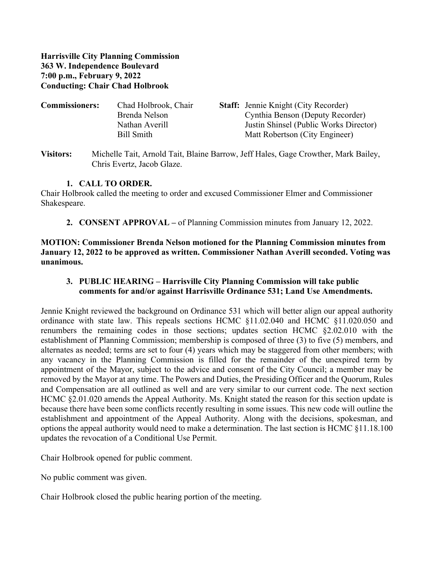**Harrisville City Planning Commission 363 W. Independence Boulevard 7:00 p.m., February 9, 2022 Conducting: Chair Chad Holbrook**

| <b>Commissioners:</b> | Chad Holbrook, Chair | <b>Staff:</b> Jennie Knight (City Recorder) |
|-----------------------|----------------------|---------------------------------------------|
|                       | Brenda Nelson        | Cynthia Benson (Deputy Recorder)            |
|                       | Nathan Averill       | Justin Shinsel (Public Works Director)      |
|                       | Bill Smith           | Matt Robertson (City Engineer)              |
|                       |                      |                                             |

**Visitors:** Michelle Tait, Arnold Tait, Blaine Barrow, Jeff Hales, Gage Crowther, Mark Bailey, Chris Evertz, Jacob Glaze.

#### **1. CALL TO ORDER.**

Chair Holbrook called the meeting to order and excused Commissioner Elmer and Commissioner Shakespeare.

**2. CONSENT APPROVAL –** of Planning Commission minutes from January 12, 2022.

**MOTION: Commissioner Brenda Nelson motioned for the Planning Commission minutes from January 12, 2022 to be approved as written. Commissioner Nathan Averill seconded. Voting was unanimous.**

**3. PUBLIC HEARING – Harrisville City Planning Commission will take public comments for and/or against Harrisville Ordinance 531; Land Use Amendments.**

Jennie Knight reviewed the background on Ordinance 531 which will better align our appeal authority ordinance with state law. This repeals sections HCMC §11.02.040 and HCMC §11.020.050 and renumbers the remaining codes in those sections; updates section HCMC §2.02.010 with the establishment of Planning Commission; membership is composed of three (3) to five (5) members, and alternates as needed; terms are set to four (4) years which may be staggered from other members; with any vacancy in the Planning Commission is filled for the remainder of the unexpired term by appointment of the Mayor, subject to the advice and consent of the City Council; a member may be removed by the Mayor at any time. The Powers and Duties, the Presiding Officer and the Quorum, Rules and Compensation are all outlined as well and are very similar to our current code. The next section HCMC  $\S 2.01.020$  amends the Appeal Authority. Ms. Knight stated the reason for this section update is because there have been some conflicts recently resulting in some issues. This new code will outline the establishment and appointment of the Appeal Authority. Along with the decisions, spokesman, and options the appeal authority would need to make a determination. The last section is HCMC §11.18.100 updates the revocation of a Conditional Use Permit.

Chair Holbrook opened for public comment.

No public comment was given.

Chair Holbrook closed the public hearing portion of the meeting.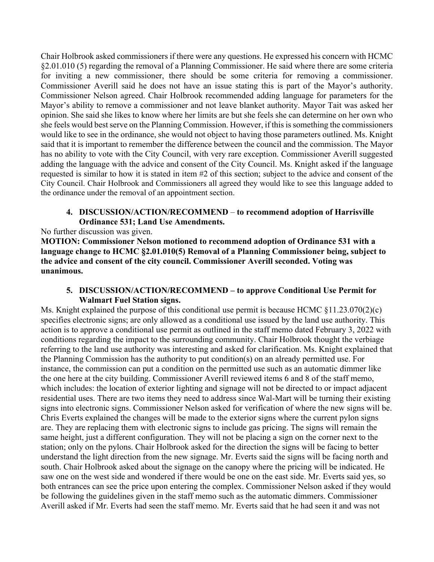Chair Holbrook asked commissioners if there were any questions. He expressed his concern with HCMC §2.01.010 (5) regarding the removal of a Planning Commissioner. He said where there are some criteria for inviting a new commissioner, there should be some criteria for removing a commissioner. Commissioner Averill said he does not have an issue stating this is part of the Mayor's authority. Commissioner Nelson agreed. Chair Holbrook recommended adding language for parameters for the Mayor's ability to remove a commissioner and not leave blanket authority. Mayor Tait was asked her opinion. She said she likes to know where her limits are but she feels she can determine on her own who she feels would best serve on the Planning Commission. However, if this is something the commissioners would like to see in the ordinance, she would not object to having those parameters outlined. Ms. Knight said that it is important to remember the difference between the council and the commission. The Mayor has no ability to vote with the City Council, with very rare exception. Commissioner Averill suggested adding the language with the advice and consent of the City Council. Ms. Knight asked if the language requested is similar to how it is stated in item #2 of this section; subject to the advice and consent of the City Council. Chair Holbrook and Commissioners all agreed they would like to see this language added to the ordinance under the removal of an appointment section.

### **4. DISCUSSION/ACTION/RECOMMEND** – **to recommend adoption of Harrisville Ordinance 531; Land Use Amendments.**

No further discussion was given.

**MOTION: Commissioner Nelson motioned to recommend adoption of Ordinance 531 with a language change to HCMC §2.01.010(5) Removal of a Planning Commissioner being, subject to the advice and consent of the city council. Commissioner Averill seconded. Voting was unanimous.**

### **5. DISCUSSION/ACTION/RECOMMEND – to approve Conditional Use Permit for Walmart Fuel Station signs.**

Ms. Knight explained the purpose of this conditional use permit is because HCMC  $\S 11.23.070(2)(c)$ specifies electronic signs; are only allowed as a conditional use issued by the land use authority. This action is to approve a conditional use permit as outlined in the staff memo dated February 3, 2022 with conditions regarding the impact to the surrounding community. Chair Holbrook thought the verbiage referring to the land use authority was interesting and asked for clarification. Ms. Knight explained that the Planning Commission has the authority to put condition(s) on an already permitted use. For instance, the commission can put a condition on the permitted use such as an automatic dimmer like the one here at the city building. Commissioner Averill reviewed items 6 and 8 of the staff memo, which includes: the location of exterior lighting and signage will not be directed to or impact adjacent residential uses. There are two items they need to address since Wal-Mart will be turning their existing signs into electronic signs. Commissioner Nelson asked for verification of where the new signs will be. Chris Everts explained the changes will be made to the exterior signs where the current pylon signs are. They are replacing them with electronic signs to include gas pricing. The signs will remain the same height, just a different configuration. They will not be placing a sign on the corner next to the station; only on the pylons. Chair Holbrook asked for the direction the signs will be facing to better understand the light direction from the new signage. Mr. Everts said the signs will be facing north and south. Chair Holbrook asked about the signage on the canopy where the pricing will be indicated. He saw one on the west side and wondered if there would be one on the east side. Mr. Everts said yes, so both entrances can see the price upon entering the complex. Commissioner Nelson asked if they would be following the guidelines given in the staff memo such as the automatic dimmers. Commissioner Averill asked if Mr. Everts had seen the staff memo. Mr. Everts said that he had seen it and was not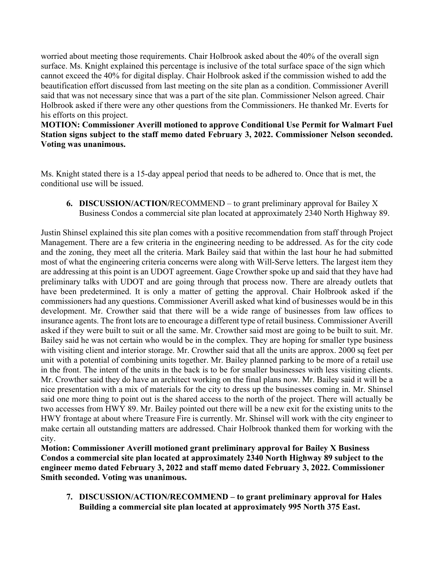worried about meeting those requirements. Chair Holbrook asked about the 40% of the overall sign surface. Ms. Knight explained this percentage is inclusive of the total surface space of the sign which cannot exceed the 40% for digital display. Chair Holbrook asked if the commission wished to add the beautification effort discussed from last meeting on the site plan as a condition. Commissioner Averill said that was not necessary since that was a part of the site plan. Commissioner Nelson agreed. Chair Holbrook asked if there were any other questions from the Commissioners. He thanked Mr. Everts for his efforts on this project.

**MOTION: Commissioner Averill motioned to approve Conditional Use Permit for Walmart Fuel Station signs subject to the staff memo dated February 3, 2022. Commissioner Nelson seconded. Voting was unanimous.**

Ms. Knight stated there is a 15-day appeal period that needs to be adhered to. Once that is met, the conditional use will be issued.

**6. DISCUSSION/ACTION/**RECOMMEND – to grant preliminary approval for Bailey X Business Condos a commercial site plan located at approximately 2340 North Highway 89.

Justin Shinsel explained this site plan comes with a positive recommendation from staff through Project Management. There are a few criteria in the engineering needing to be addressed. As for the city code and the zoning, they meet all the criteria. Mark Bailey said that within the last hour he had submitted most of what the engineering criteria concerns were along with Will-Serve letters. The largest item they are addressing at this point is an UDOT agreement. Gage Crowther spoke up and said that they have had preliminary talks with UDOT and are going through that process now. There are already outlets that have been predetermined. It is only a matter of getting the approval. Chair Holbrook asked if the commissioners had any questions. Commissioner Averill asked what kind of businesses would be in this development. Mr. Crowther said that there will be a wide range of businesses from law offices to insurance agents. The front lots are to encourage a different type of retail business. Commissioner Averill asked if they were built to suit or all the same. Mr. Crowther said most are going to be built to suit. Mr. Bailey said he was not certain who would be in the complex. They are hoping for smaller type business with visiting client and interior storage. Mr. Crowther said that all the units are approx. 2000 sq feet per unit with a potential of combining units together. Mr. Bailey planned parking to be more of a retail use in the front. The intent of the units in the back is to be for smaller businesses with less visiting clients. Mr. Crowther said they do have an architect working on the final plans now. Mr. Bailey said it will be a nice presentation with a mix of materials for the city to dress up the businesses coming in. Mr. Shinsel said one more thing to point out is the shared access to the north of the project. There will actually be two accesses from HWY 89. Mr. Bailey pointed out there will be a new exit for the existing units to the HWY frontage at about where Treasure Fire is currently. Mr. Shinsel will work with the city engineer to make certain all outstanding matters are addressed. Chair Holbrook thanked them for working with the city.

**Motion: Commissioner Averill motioned grant preliminary approval for Bailey X Business Condos a commercial site plan located at approximately 2340 North Highway 89 subject to the engineer memo dated February 3, 2022 and staff memo dated February 3, 2022. Commissioner Smith seconded. Voting was unanimous.**

**7. DISCUSSION/ACTION/RECOMMEND – to grant preliminary approval for Hales Building a commercial site plan located at approximately 995 North 375 East.**